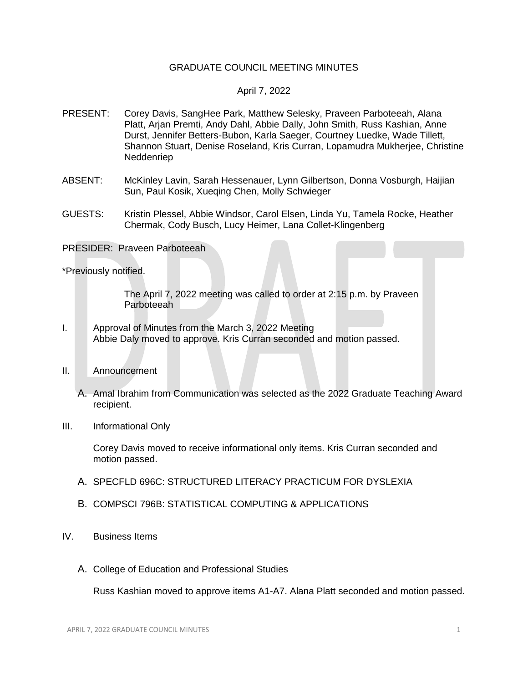## GRADUATE COUNCIL MEETING MINUTES

## April 7, 2022

- PRESENT: Corey Davis, SangHee Park, Matthew Selesky, Praveen Parboteeah, Alana Platt, Arjan Premti, Andy Dahl, Abbie Dally, John Smith, Russ Kashian, Anne Durst, Jennifer Betters-Bubon, Karla Saeger, Courtney Luedke, Wade Tillett, Shannon Stuart, Denise Roseland, Kris Curran, Lopamudra Mukherjee, Christine Neddenriep
- ABSENT: McKinley Lavin, Sarah Hessenauer, Lynn Gilbertson, Donna Vosburgh, Haijian Sun, Paul Kosik, Xueqing Chen, Molly Schwieger
- GUESTS: Kristin Plessel, Abbie Windsor, Carol Elsen, Linda Yu, Tamela Rocke, Heather Chermak, Cody Busch, Lucy Heimer, Lana Collet-Klingenberg

PRESIDER: Praveen Parboteeah

\*Previously notified.

The April 7, 2022 meeting was called to order at 2:15 p.m. by Praveen Parboteeah

- I. Approval of Minutes from the March 3, 2022 Meeting Abbie Daly moved to approve. Kris Curran seconded and motion passed.
- II. Announcement
	- A. Amal Ibrahim from Communication was selected as the 2022 Graduate Teaching Award recipient.
- III. Informational Only

Corey Davis moved to receive informational only items. Kris Curran seconded and motion passed.

- A. SPECFLD 696C: STRUCTURED LITERACY PRACTICUM FOR DYSLEXIA
- B. COMPSCI 796B: STATISTICAL COMPUTING & APPLICATIONS
- IV. Business Items
	- A. College of Education and Professional Studies

Russ Kashian moved to approve items A1-A7. Alana Platt seconded and motion passed.